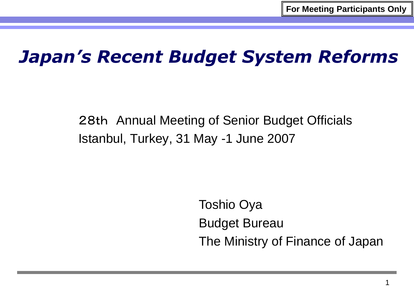## *Japan's Recent Budget System Reforms*

28th Annual Meeting of Senior Budget Officials Istanbul, Turkey, 31 May -1 June 2007

> Toshio Oya Budget Bureau The Ministry of Finance of Japan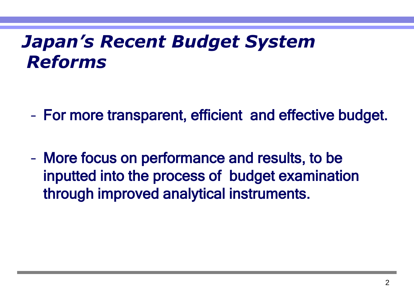# *Japan's Recent Budget System Reforms*

- For more transparent, efficient and effective budget.
- More focus on performance and results, to be inputted into the process of budget examination through improved analytical instruments.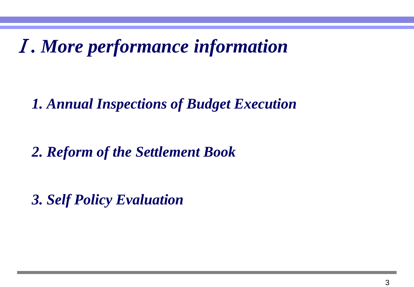Ⅰ*. More performance information*

*1. Annual Inspections of Budget Execution*

*2. Reform of the Settlement Book*

*3. Self Policy Evaluation*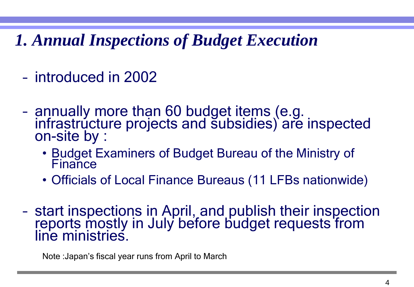*1. Annual Inspections of Budget Execution*

- introduced in 2002
- annually more than 60 budget items (e.g. infrastructure projects and subsidies) are inspected on-site by :
	- Budget Examiners of Budget Bureau of the Ministry of Finance
	- Officials of Local Finance Bureaus (11 LFBs nationwide)
- start inspections in April, and publish their inspection reports mostly in July before budget requests from line ministries.

Note :Japan's fiscal year runs from April to March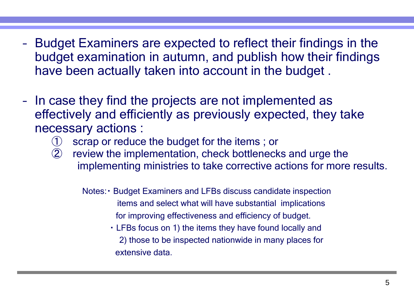- Budget Examiners are expected to reflect their findings in the budget examination in autumn, and publish how their findings have been actually taken into account in the budget .
- In case they find the projects are not implemented as effectively and efficiently as previously expected, they take necessary actions :
	- ① scrap or reduce the budget for the items ; or
	- ② review the implementation, check bottlenecks and urge the implementing ministries to take corrective actions for more results.
		- Notes:・ Budget Examiners and LFBs discuss candidate inspection items and select what will have substantial implications for improving effectiveness and efficiency of budget.
			- ・ LFBs focus on 1) the items they have found locally and 2) those to be inspected nationwide in many places for extensive data.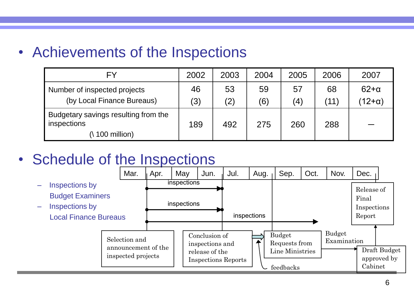• Achievements of the Inspections

| FY                                                                         | 2002 | 2003 | 2004 | 2005              | 2006            | 2007          |
|----------------------------------------------------------------------------|------|------|------|-------------------|-----------------|---------------|
| Number of inspected projects                                               | 46   | 53   | 59   | 57                | 68              | $62 + \alpha$ |
| (by Local Finance Bureaus)                                                 | (3)  | (2)  | (6)  | $\left( 4\right)$ | $^{\prime}$ 11) | $12+\alpha$ ) |
| Budgetary savings resulting from the<br>inspections<br>$(\n\$ 100 million) | 189  | 492  | 275  | 260               | 288             |               |

#### • Schedule of the Inspections

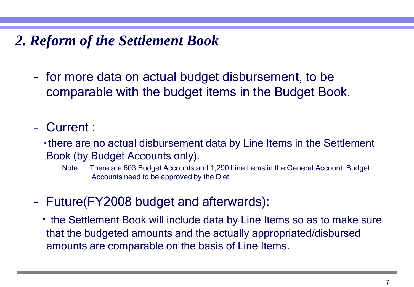#### *2. Reform of the Settlement Book*

- for more data on actual budget disbursement, to be comparable with the budget items in the Budget Book.
- Current :
	- ・there are no actual disbursement data by Line Items in the Settlement Book (by Budget Accounts only).
		- Note : There are 603 Budget Accounts and 1,290 Line Items in the General Account. Budget Accounts need to be approved by the Diet.
- Future(FY2008 budget and afterwards):
	- ・ the Settlement Book will include data by Line Items so as to make sure that the budgeted amounts and the actually appropriated/disbursed amounts are comparable on the basis of Line Items.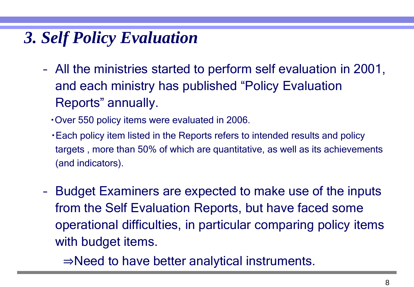### *3. Self Policy Evaluation*

- All the ministries started to perform self evaluation in 2001, and each ministry has published "Policy Evaluation Reports" annually.
	- ・Over 550 policy items were evaluated in 2006.
	- ・Each policy item listed in the Reports refers to intended results and policy targets , more than 50% of which are quantitative, as well as its achievements (and indicators).
- Budget Examiners are expected to make use of the inputs from the Self Evaluation Reports, but have faced some operational difficulties, in particular comparing policy items with budget items.
	- ⇒Need to have better analytical instruments.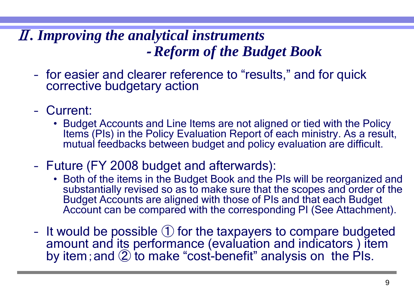#### Ⅱ*. Improving the analytical instruments Reform of the Budget Book*

- for easier and clearer reference to "results," and for quick corrective budgetary action
- Current:
	- Budget Accounts and Line Items are not aligned or tied with the Policy Items (PIs) in the Policy Evaluation Report of each ministry. As a result, mutual feedbacks between budget and policy evaluation are difficult.
- Future (FY 2008 budget and afterwards):
	- Both of the items in the Budget Book and the PIs will be reorganized and substantially revised so as to make sure that the scopes and order of the Budget Accounts are aligned with those of PIs and that each Budget Account can be compared with the corresponding PI (See Attachment).
- It would be possible ① for the taxpayers to compare budgeted amount and its performance (evaluation and indicators ) item by item; and  $\circled{2}$  to make "cost-benefit" analysis on the PIs.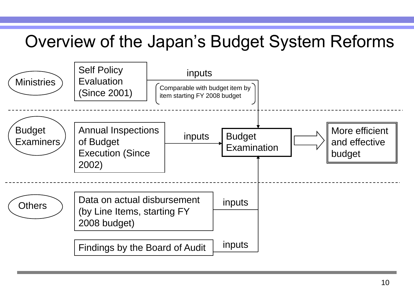### Overview of the Japan's Budget System Reforms